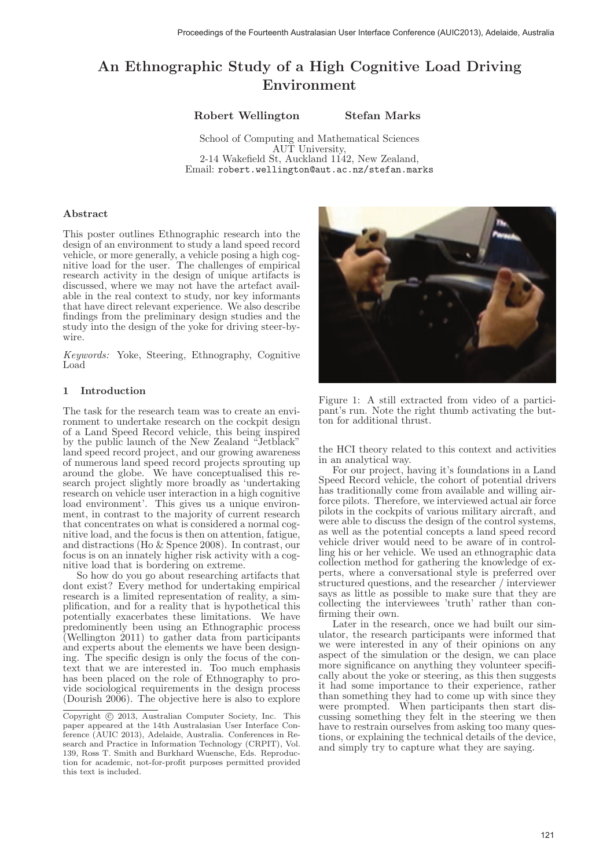# An Ethnographic Study of a High Cognitive Load Driving Environment

Robert Wellington Stefan Marks

School of Computing and Mathematical Sciences AUT University, 2-14 Wakefield St, Auckland 1142, New Zealand, Email: robert.wellington@aut.ac.nz/stefan.marks

#### Abstract

This poster outlines Ethnographic research into the design of an environment to study a land speed record vehicle, or more generally, a vehicle posing a high cognitive load for the user. The challenges of empirical research activity in the design of unique artifacts is discussed, where we may not have the artefact available in the real context to study, nor key informants that have direct relevant experience. We also describe findings from the preliminary design studies and the study into the design of the yoke for driving steer-bywire.

Keywords: Yoke, Steering, Ethnography, Cognitive Load

### 1 Introduction

The task for the research team was to create an environment to undertake research on the cockpit design of a Land Speed Record vehicle, this being inspired by the public launch of the New Zealand "Jetblack" land speed record project, and our growing awareness of numerous land speed record projects sprouting up around the globe. We have conceptualised this research project slightly more broadly as 'undertaking research on vehicle user interaction in a high cognitive load environment'. This gives us a unique environment, in contrast to the majority of current research that concentrates on what is considered a normal cognitive load, and the focus is then on attention, fatigue, and distractions (Ho & Spence 2008). In contrast, our focus is on an innately higher risk activity with a cognitive load that is bordering on extreme.

So how do you go about researching artifacts that dont exist? Every method for undertaking empirical research is a limited representation of reality, a simplification, and for a reality that is hypothetical this potentially exacerbates these limitations. We have predominently been using an Ethnographic process (Wellington 2011) to gather data from participants and experts about the elements we have been designing. The specific design is only the focus of the context that we are interested in. Too much emphasis has been placed on the role of Ethnography to provide sociological requirements in the design process (Dourish 2006). The objective here is also to explore



Figure 1: A still extracted from video of a participant's run. Note the right thumb activating the button for additional thrust.

the HCI theory related to this context and activities in an analytical way.

For our project, having it's foundations in a Land Speed Record vehicle, the cohort of potential drivers has traditionally come from available and willing airforce pilots. Therefore, we interviewed actual air force pilots in the cockpits of various military aircraft, and were able to discuss the design of the control systems, as well as the potential concepts a land speed record vehicle driver would need to be aware of in controlling his or her vehicle. We used an ethnographic data collection method for gathering the knowledge of experts, where a conversational style is preferred over structured questions, and the researcher / interviewer says as little as possible to make sure that they are collecting the interviewees 'truth' rather than confirming their own.

Later in the research, once we had built our simulator, the research participants were informed that we were interested in any of their opinions on any aspect of the simulation or the design, we can place more significance on anything they volunteer specifically about the yoke or steering, as this then suggests it had some importance to their experience, rather than something they had to come up with since they were prompted. When participants then start discussing something they felt in the steering we then have to restrain ourselves from asking too many questions, or explaining the technical details of the device, and simply try to capture what they are saying.

Copyright © 2013, Australian Computer Society, Inc. This paper appeared at the 14th Australasian User Interface Conference (AUIC 2013), Adelaide, Australia. Conferences in Research and Practice in Information Technology (CRPIT), Vol. 139, Ross T. Smith and Burkhard Wuensche, Eds. Reproduction for academic, not-for-profit purposes permitted provided this text is included.